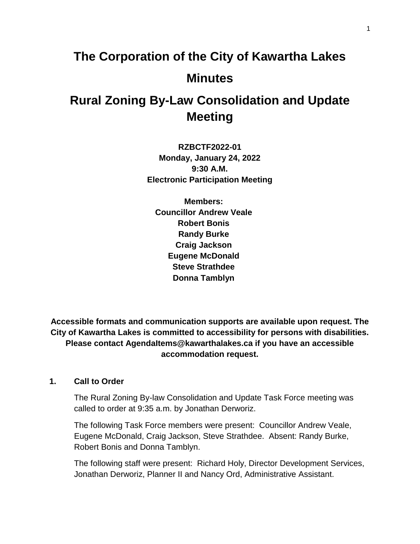# **The Corporation of the City of Kawartha Lakes Minutes**

# **Rural Zoning By-Law Consolidation and Update Meeting**

**RZBCTF2022-01 Monday, January 24, 2022 9:30 A.M. Electronic Participation Meeting**

**Members: Councillor Andrew Veale Robert Bonis Randy Burke Craig Jackson Eugene McDonald Steve Strathdee Donna Tamblyn**

**Accessible formats and communication supports are available upon request. The City of Kawartha Lakes is committed to accessibility for persons with disabilities. Please contact AgendaItems@kawarthalakes.ca if you have an accessible accommodation request.** 

# **1. Call to Order**

The Rural Zoning By-law Consolidation and Update Task Force meeting was called to order at 9:35 a.m. by Jonathan Derworiz.

The following Task Force members were present: Councillor Andrew Veale, Eugene McDonald, Craig Jackson, Steve Strathdee. Absent: Randy Burke, Robert Bonis and Donna Tamblyn.

The following staff were present: Richard Holy, Director Development Services, Jonathan Derworiz, Planner II and Nancy Ord, Administrative Assistant.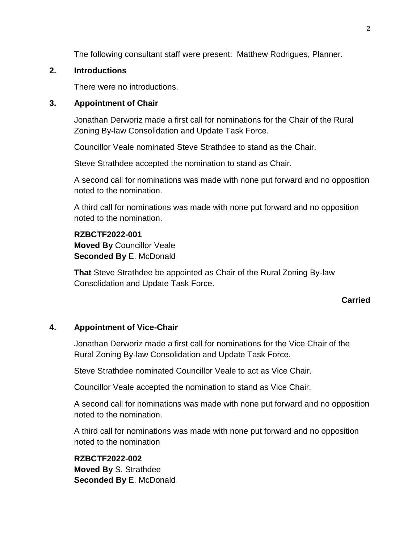The following consultant staff were present: Matthew Rodrigues, Planner.

# **2. Introductions**

There were no introductions.

# **3. Appointment of Chair**

Jonathan Derworiz made a first call for nominations for the Chair of the Rural Zoning By-law Consolidation and Update Task Force.

Councillor Veale nominated Steve Strathdee to stand as the Chair.

Steve Strathdee accepted the nomination to stand as Chair.

A second call for nominations was made with none put forward and no opposition noted to the nomination.

A third call for nominations was made with none put forward and no opposition noted to the nomination.

# **RZBCTF2022-001**

**Moved By** Councillor Veale **Seconded By** E. McDonald

**That** Steve Strathdee be appointed as Chair of the Rural Zoning By-law Consolidation and Update Task Force.

# **Carried**

# **4. Appointment of Vice-Chair**

Jonathan Derworiz made a first call for nominations for the Vice Chair of the Rural Zoning By-law Consolidation and Update Task Force.

Steve Strathdee nominated Councillor Veale to act as Vice Chair.

Councillor Veale accepted the nomination to stand as Vice Chair.

A second call for nominations was made with none put forward and no opposition noted to the nomination.

A third call for nominations was made with none put forward and no opposition noted to the nomination

**RZBCTF2022-002 Moved By** S. Strathdee **Seconded By** E. McDonald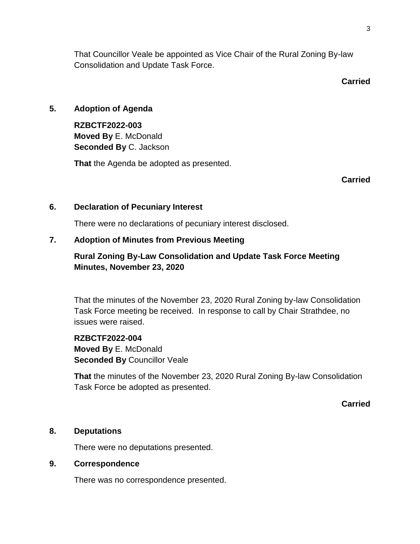That Councillor Veale be appointed as Vice Chair of the Rural Zoning By-law Consolidation and Update Task Force.

# **Carried**

# **5. Adoption of Agenda**

**RZBCTF2022-003 Moved By** E. McDonald **Seconded By** C. Jackson

**That** the Agenda be adopted as presented.

**Carried**

# **6. Declaration of Pecuniary Interest**

There were no declarations of pecuniary interest disclosed.

# **7. Adoption of Minutes from Previous Meeting**

# **Rural Zoning By-Law Consolidation and Update Task Force Meeting Minutes, November 23, 2020**

That the minutes of the November 23, 2020 Rural Zoning by-law Consolidation Task Force meeting be received. In response to call by Chair Strathdee, no issues were raised.

**RZBCTF2022-004 Moved By** E. McDonald **Seconded By** Councillor Veale

**That** the minutes of the November 23, 2020 Rural Zoning By-law Consolidation Task Force be adopted as presented.

**Carried**

# **8. Deputations**

There were no deputations presented.

# **9. Correspondence**

There was no correspondence presented.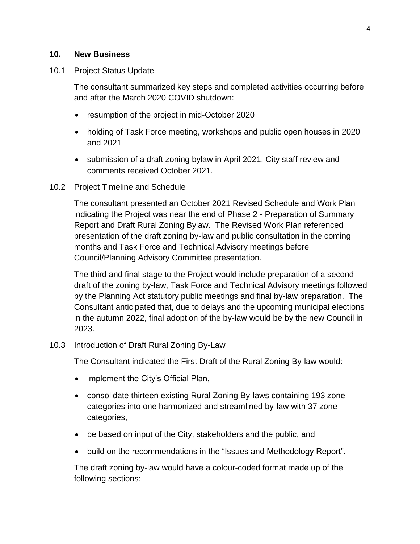# **10. New Business**

# 10.1 Project Status Update

The consultant summarized key steps and completed activities occurring before and after the March 2020 COVID shutdown:

- resumption of the project in mid-October 2020
- holding of Task Force meeting, workshops and public open houses in 2020 and 2021
- submission of a draft zoning bylaw in April 2021, City staff review and comments received October 2021.

# 10.2 Project Timeline and Schedule

The consultant presented an October 2021 Revised Schedule and Work Plan indicating the Project was near the end of Phase 2 - Preparation of Summary Report and Draft Rural Zoning Bylaw. The Revised Work Plan referenced presentation of the draft zoning by-law and public consultation in the coming months and Task Force and Technical Advisory meetings before Council/Planning Advisory Committee presentation.

The third and final stage to the Project would include preparation of a second draft of the zoning by-law, Task Force and Technical Advisory meetings followed by the Planning Act statutory public meetings and final by-law preparation. The Consultant anticipated that, due to delays and the upcoming municipal elections in the autumn 2022, final adoption of the by-law would be by the new Council in 2023.

# 10.3 Introduction of Draft Rural Zoning By-Law

The Consultant indicated the First Draft of the Rural Zoning By-law would:

- implement the City's Official Plan,
- consolidate thirteen existing Rural Zoning By-laws containing 193 zone categories into one harmonized and streamlined by-law with 37 zone categories,
- be based on input of the City, stakeholders and the public, and
- build on the recommendations in the "Issues and Methodology Report".

The draft zoning by-law would have a colour-coded format made up of the following sections: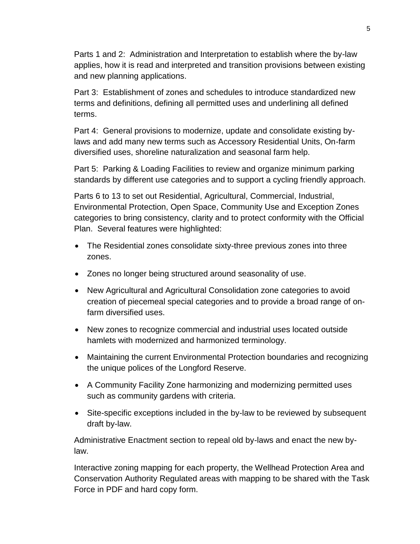Parts 1 and 2: Administration and Interpretation to establish where the by-law applies, how it is read and interpreted and transition provisions between existing and new planning applications.

Part 3: Establishment of zones and schedules to introduce standardized new terms and definitions, defining all permitted uses and underlining all defined terms.

Part 4: General provisions to modernize, update and consolidate existing bylaws and add many new terms such as Accessory Residential Units, On-farm diversified uses, shoreline naturalization and seasonal farm help.

Part 5: Parking & Loading Facilities to review and organize minimum parking standards by different use categories and to support a cycling friendly approach.

Parts 6 to 13 to set out Residential, Agricultural, Commercial, Industrial, Environmental Protection, Open Space, Community Use and Exception Zones categories to bring consistency, clarity and to protect conformity with the Official Plan. Several features were highlighted:

- The Residential zones consolidate sixty-three previous zones into three zones.
- Zones no longer being structured around seasonality of use.
- New Agricultural and Agricultural Consolidation zone categories to avoid creation of piecemeal special categories and to provide a broad range of onfarm diversified uses.
- New zones to recognize commercial and industrial uses located outside hamlets with modernized and harmonized terminology.
- Maintaining the current Environmental Protection boundaries and recognizing the unique polices of the Longford Reserve.
- A Community Facility Zone harmonizing and modernizing permitted uses such as community gardens with criteria.
- Site-specific exceptions included in the by-law to be reviewed by subsequent draft by-law.

Administrative Enactment section to repeal old by-laws and enact the new bylaw.

Interactive zoning mapping for each property, the Wellhead Protection Area and Conservation Authority Regulated areas with mapping to be shared with the Task Force in PDF and hard copy form.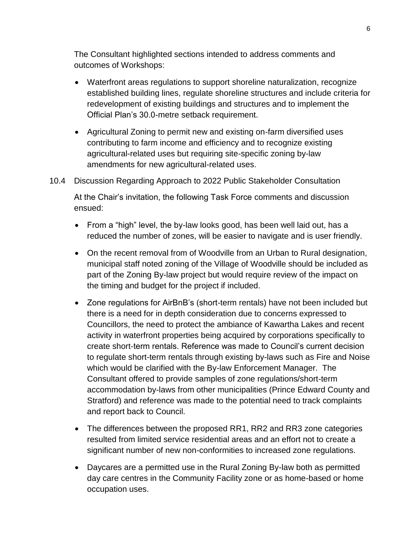The Consultant highlighted sections intended to address comments and outcomes of Workshops:

- Waterfront areas regulations to support shoreline naturalization, recognize established building lines, regulate shoreline structures and include criteria for redevelopment of existing buildings and structures and to implement the Official Plan's 30.0-metre setback requirement.
- Agricultural Zoning to permit new and existing on-farm diversified uses contributing to farm income and efficiency and to recognize existing agricultural-related uses but requiring site-specific zoning by-law amendments for new agricultural-related uses.
- 10.4 Discussion Regarding Approach to 2022 Public Stakeholder Consultation

At the Chair's invitation, the following Task Force comments and discussion ensued:

- From a "high" level, the by-law looks good, has been well laid out, has a reduced the number of zones, will be easier to navigate and is user friendly.
- On the recent removal from of Woodville from an Urban to Rural designation, municipal staff noted zoning of the Village of Woodville should be included as part of the Zoning By-law project but would require review of the impact on the timing and budget for the project if included.
- Zone regulations for AirBnB's (short-term rentals) have not been included but there is a need for in depth consideration due to concerns expressed to Councillors, the need to protect the ambiance of Kawartha Lakes and recent activity in waterfront properties being acquired by corporations specifically to create short-term rentals. Reference was made to Council's current decision to regulate short-term rentals through existing by-laws such as Fire and Noise which would be clarified with the By-law Enforcement Manager. The Consultant offered to provide samples of zone regulations/short-term accommodation by-laws from other municipalities (Prince Edward County and Stratford) and reference was made to the potential need to track complaints and report back to Council.
- The differences between the proposed RR1, RR2 and RR3 zone categories resulted from limited service residential areas and an effort not to create a significant number of new non-conformities to increased zone regulations.
- Daycares are a permitted use in the Rural Zoning By-law both as permitted day care centres in the Community Facility zone or as home-based or home occupation uses.